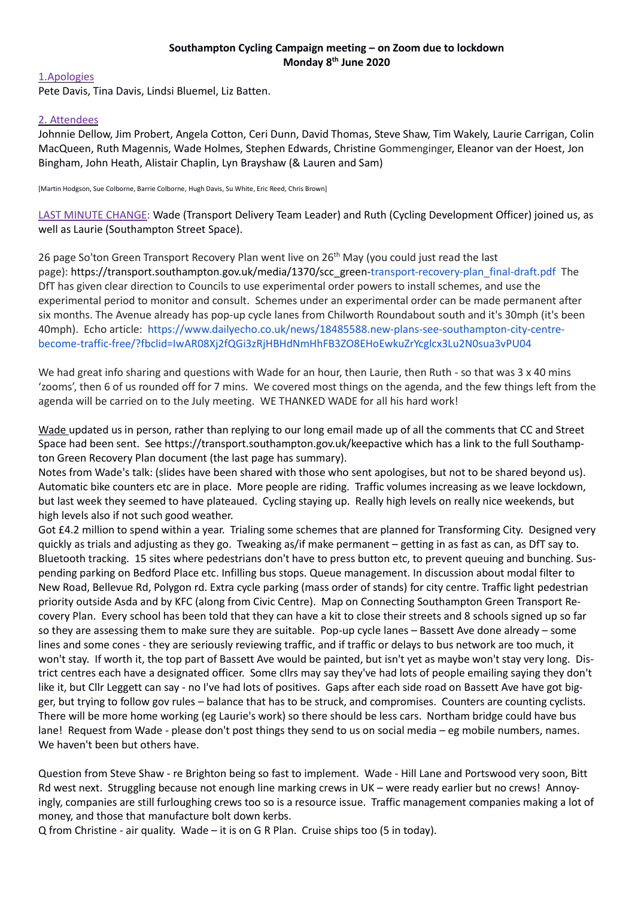# **Southampton Cycling Campaign meeting – on Zoom due to lockdown Monday 8th June 2020**

#### 1.Apologies

Pete Davis, Tina Davis, Lindsi Bluemel, Liz Batten.

### 2. Attendees

Johnnie Dellow, Jim Probert, Angela Cotton, Ceri Dunn, David Thomas, Steve Shaw, Tim Wakely, Laurie Carrigan, Colin MacQueen, Ruth Magennis, Wade Holmes, Stephen Edwards, Christine Gommenginger, Eleanor van der Hoest, Jon Bingham, John Heath, Alistair Chaplin, Lyn Brayshaw (& Lauren and Sam)

[Martin Hodgson, Sue Colborne, Barrie Colborne, Hugh Davis, Su White, Eric Reed, Chris Brown]

LAST MINUTE CHANGE: Wade (Transport Delivery Team Leader) and Ruth (Cycling Development Officer) joined us, as well as Laurie (Southampton Street Space).

26 page So'ton Green Transport Recovery Plan went live on 26<sup>th</sup> May (you could just read the last page): [https://transport.southampton](https://transport.southampton/)[.gov.uk/media/1370/scc\\_green-t](http://gov.uk/media/1370/scc_green-)ransport-recovery-plan\_final-draft.pdf The DfT has given clear direction to Councils to use experimental order powers to install schemes, and use the experimental period to monitor and consult. Schemes under an experimental order can be made permanent after six months. The Avenue already has pop-up cycle lanes from Chilworth Roundabout south and it's 30mph (it's been 40mph). Echo article: [https://www.dailyecho.co.uk/news/18485588.new-plans-see-southampton-city-centre](https://www.dailyecho.co.uk/news/18485588.new-plans-see-southampton-city-centre-become-traffic-free/?fbclid=IwAR08Xj2fQGi3zRjHBHdNmHhFB3ZO8EHoEwkuZrYcglcx3Lu2N0sua3vPU04)[become-traffic-free/?fbclid=IwAR08Xj2fQGi3zRjHBHdNmHhFB3ZO8EHoEwkuZrYcglcx3Lu2N0sua3vPU04](https://www.dailyecho.co.uk/news/18485588.new-plans-see-southampton-city-centre-become-traffic-free/?fbclid=IwAR08Xj2fQGi3zRjHBHdNmHhFB3ZO8EHoEwkuZrYcglcx3Lu2N0sua3vPU04)

We had great info sharing and questions with Wade for an hour, then Laurie, then Ruth - so that was 3 x 40 mins 'zooms', then 6 of us rounded off for 7 mins. We covered most things on the agenda, and the few things left from the agenda will be carried on to the July meeting. WE THANKED WADE for all his hard work!

Wade updated us in person, rather than replying to our long email made up of all the comments that CC and Street Space had been sent. See<https://transport.southampton.gov.uk/keepactive> which has a link to the full Southampton Green Recovery Plan document (the last page has summary).

Notes from Wade's talk: (slides have been shared with those who sent apologises, but not to be shared beyond us). Automatic bike counters etc are in place. More people are riding. Traffic volumes increasing as we leave lockdown, but last week they seemed to have plateaued. Cycling staying up. Really high levels on really nice weekends, but high levels also if not such good weather.

Got £4.2 million to spend within a year. Trialing some schemes that are planned for Transforming City. Designed very quickly as trials and adjusting as they go. Tweaking as/if make permanent – getting in as fast as can, as DfT say to. Bluetooth tracking. 15 sites where pedestrians don't have to press button etc, to prevent queuing and bunching. Suspending parking on Bedford Place etc. Infilling bus stops. Queue management. In discussion about modal filter to New Road, Bellevue Rd, Polygon rd. Extra cycle parking (mass order of stands) for city centre. Traffic light pedestrian priority outside Asda and by KFC (along from Civic Centre). Map on Connecting Southampton Green Transport Recovery Plan. Every school has been told that they can have a kit to close their streets and 8 schools signed up so far so they are assessing them to make sure they are suitable. Pop-up cycle lanes – Bassett Ave done already – some lines and some cones - they are seriously reviewing traffic, and if traffic or delays to bus network are too much, it won't stay. If worth it, the top part of Bassett Ave would be painted, but isn't yet as maybe won't stay very long. District centres each have a designated officer. Some cllrs may say they've had lots of people emailing saying they don't like it, but Cllr Leggett can say - no I've had lots of positives. Gaps after each side road on Bassett Ave have got bigger, but trying to follow gov rules – balance that has to be struck, and compromises. Counters are counting cyclists. There will be more home working (eg Laurie's work) so there should be less cars. Northam bridge could have bus lane! Request from Wade - please don't post things they send to us on social media – eg mobile numbers, names. We haven't been but others have.

Question from Steve Shaw - re Brighton being so fast to implement. Wade - Hill Lane and Portswood very soon, Bitt Rd west next. Struggling because not enough line marking crews in UK – were ready earlier but no crews! Annoyingly, companies are still furloughing crews too so is a resource issue. Traffic management companies making a lot of money, and those that manufacture bolt down kerbs.

Q from Christine - air quality. Wade – it is on G R Plan. Cruise ships too (5 in today).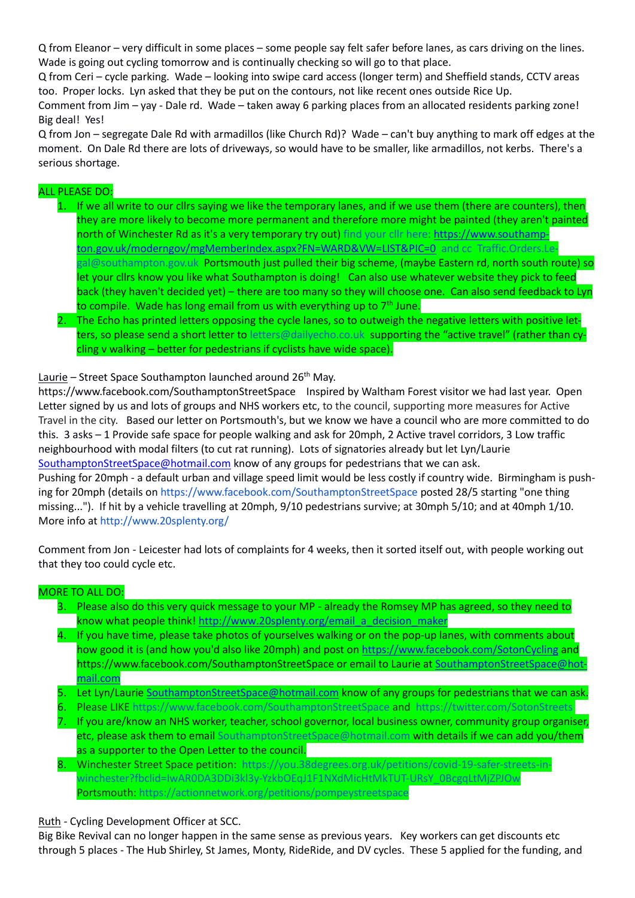Q from Eleanor – very difficult in some places – some people say felt safer before lanes, as cars driving on the lines. Wade is going out cycling tomorrow and is continually checking so will go to that place.

Q from Ceri – cycle parking. Wade – looking into swipe card access (longer term) and Sheffield stands, CCTV areas too. Proper locks. Lyn asked that they be put on the contours, not like recent ones outside Rice Up.

Comment from Jim – yay - Dale rd. Wade – taken away 6 parking places from an allocated residents parking zone! Big deal! Yes!

Q from Jon – segregate Dale Rd with armadillos (like Church Rd)? Wade – can't buy anything to mark off edges at the moment. On Dale Rd there are lots of driveways, so would have to be smaller, like armadillos, not kerbs. There's a serious shortage.

# ALL PLEASE DO:

1. If we all write to our cllrs saying we like the temporary lanes, and if we use them (there are counters), then they are more likely to become more permanent and therefore more might be painted (they aren't painted north of Winchester Rd as it's a very temporary try out) find your cllr here: [https://www.southamp](https://l.facebook.com/l.php?u=https%3A%2F%2Fwww.southampton.gov.uk%2Fmoderngov%2FmgMemberIndex.aspx%3FFN%3DWARD%26VW%3DLIST%26PIC%3D0%26fbclid%3DIwAR1FhCuJG6CnhEwZTAZKo-6qPkBdiYl8dJ5JrTWZx8Ocg2l7Ltdfxip2cwo&h=AT00jDBMtM3PeH5GORzR3gatmYNPrGK0q2arzrJfZMalhSqVw2F5LvaeqyYuztp3pbzQ_jHAHjdJj129t2zJVCe4W5YrWIvINlDThRVy3LgnA7U4XxTfTM4miGHiRNdfd6T1&__tn__=-UK-y-R&c%5b0%5d=AT38QR5CmHIYqgdwNuDtG7p4Ap_ZfQJVR0y3Gu7fFtUDDjyhuKulBl-lH372GQIA83Xu-MtVAKMpcJpfk29vdqJ8X1XyyRu7nCgCM0CUO9nFNBImNe70PPgCuELzBj55dDQCLOEmkijdwpKZA0xy0kVc5wA6qUCImLIDzfUpOqby26MFQnBBCA)[ton.gov.uk/moderngov/mgMemberIndex.aspx?FN=WARD&VW=LIST&PIC=0](https://l.facebook.com/l.php?u=https%3A%2F%2Fwww.southampton.gov.uk%2Fmoderngov%2FmgMemberIndex.aspx%3FFN%3DWARD%26VW%3DLIST%26PIC%3D0%26fbclid%3DIwAR1FhCuJG6CnhEwZTAZKo-6qPkBdiYl8dJ5JrTWZx8Ocg2l7Ltdfxip2cwo&h=AT00jDBMtM3PeH5GORzR3gatmYNPrGK0q2arzrJfZMalhSqVw2F5LvaeqyYuztp3pbzQ_jHAHjdJj129t2zJVCe4W5YrWIvINlDThRVy3LgnA7U4XxTfTM4miGHiRNdfd6T1&__tn__=-UK-y-R&c%5b0%5d=AT38QR5CmHIYqgdwNuDtG7p4Ap_ZfQJVR0y3Gu7fFtUDDjyhuKulBl-lH372GQIA83Xu-MtVAKMpcJpfk29vdqJ8X1XyyRu7nCgCM0CUO9nFNBImNe70PPgCuELzBj55dDQCLOEmkijdwpKZA0xy0kVc5wA6qUCImLIDzfUpOqby26MFQnBBCA) and cc [Traffic.Orders.Le-](mailto:Traffic.Orders.Legal@southampton.gov.uk)

[gal@southampton.gov.uk](mailto:Traffic.Orders.Legal@southampton.gov.uk) Portsmouth just pulled their big scheme, (maybe Eastern rd, north south route) so let your cllrs know you like what Southampton is doing! Can also use whatever website they pick to feed back (they haven't decided yet) – there are too many so they will choose one. Can also send feedback to Lyn to compile. Wade has long email from us with everything up to 7<sup>th</sup> June.

2. The Echo has printed letters opposing the cycle lanes, so to outweigh the negative letters with positive letters, so please send a short letter to [letters@dailyecho.co.uk](mailto:letters@dailyecho.co.uk) supporting the "active travel" (rather than cycling v walking – better for pedestrians if cyclists have wide space).

# Laurie – Street Space Southampton launched around  $26<sup>th</sup>$  May.

<https://www.facebook.com/SouthamptonStreetSpace>Inspired by Waltham Forest visitor we had last year. Open Letter signed by us and lots of groups and NHS workers etc, to the council, supporting more measures for Active Travel in the city. Based our letter on Portsmouth's, but we know we have a council who are more committed to do this. 3 asks – 1 Provide safe space for people walking and ask for 20mph, 2 Active travel corridors, 3 Low traffic neighbourhood with modal filters (to cut rat running). Lots of signatories already but let Lyn/Laurie [SouthamptonStreetSpace@hotmail.com](mailto:SouthamptonStreetSpace@hotmail.com) know of any groups for pedestrians that we can ask.

Pushing for 20mph - a default urban and village speed limit would be less costly if country wide. Birmingham is pushing for 20mph (details o[n https://www.facebook.com/SouthamptonStreetSpace](https://www.facebook.com/SouthamptonStreetSpace) posted 28/5 starting "one thing missing..."). If hit by a vehicle travelling at 20mph, 9/10 pedestrians survive; at 30mph 5/10; and at 40mph 1/10. More info at<http://www.20splenty.org/>

Comment from Jon - Leicester had lots of complaints for 4 weeks, then it sorted itself out, with people working out that they too could cycle etc.

| <b>MORE TO ALL DO:</b> |                                                                                                           |
|------------------------|-----------------------------------------------------------------------------------------------------------|
| В.                     | Please also do this very quick message to your MP - already the Romsey MP has agreed, so they need to     |
|                        | know what people think! http://www.20splenty.org/email a decision maker                                   |
|                        | If you have time, please take photos of yourselves walking or on the pop-up lanes, with comments about    |
|                        | how good it is (and how you'd also like 20mph) and post on https://www.facebook.com/SotonCycling and      |
|                        | https://www.facebook.com/SouthamptonStreetSpace or email to Laurie at SouthamptonStreetSpace@hot-         |
|                        | mail.com                                                                                                  |
|                        | Let Lyn/Laurie SouthamptonStreetSpace@hotmail.com know of any groups for pedestrians that we can ask.     |
|                        | Please LIKE https://www.facebook.com/SouthamptonStreetSpace and https://twitter.com/SotonStreets          |
|                        | If you are/know an NHS worker, teacher, school governor, local business owner, community group organiser, |
|                        | etc, please ask them to email SouthamptonStreetSpace@hotmail.com with details if we can add you/them      |
|                        | as a supporter to the Open Letter to the council.                                                         |
| 8.                     | Winchester Street Space petition: https://you.38degrees.org.uk/petitions/covid-19-safer-streets-in-       |
|                        | winchester?fbclid=IwAR0DA3DDi3kl3y-YzkbOEqJ1F1NXdMicHtMkTUT-URsY_0BcgqLtMjZPJOw                           |
|                        | Portsmouth: https://actionnetwork.org/petitions/pompeystreetspace                                         |
|                        |                                                                                                           |

### Ruth - Cycling Development Officer at SCC.

Big Bike Revival can no longer happen in the same sense as previous years. Key workers can get discounts etc through 5 places - The Hub Shirley, St James, Monty, RideRide, and DV cycles. These 5 applied for the funding, and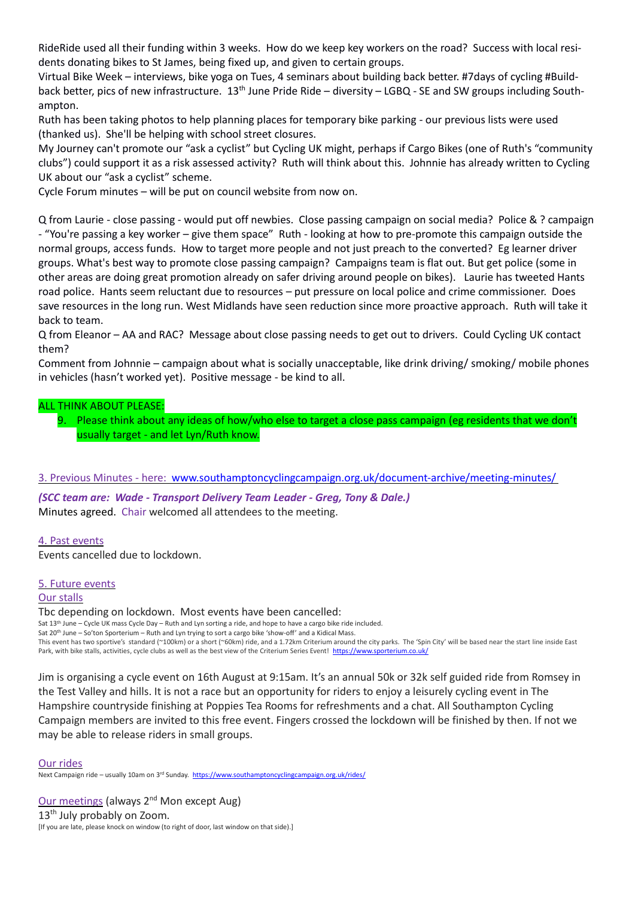RideRide used all their funding within 3 weeks. How do we keep key workers on the road? Success with local residents donating bikes to St James, being fixed up, and given to certain groups.

Virtual Bike Week – interviews, bike yoga on Tues, 4 seminars about building back better. #7days of cycling #Buildback better, pics of new infrastructure.  $13<sup>th</sup>$  June Pride Ride – diversity – LGBQ - SE and SW groups including Southampton.

Ruth has been taking photos to help planning places for temporary bike parking - our previous lists were used (thanked us). She'll be helping with school street closures.

My Journey can't promote our "ask a cyclist" but Cycling UK might, perhaps if Cargo Bikes (one of Ruth's "community clubs") could support it as a risk assessed activity? Ruth will think about this. Johnnie has already written to Cycling UK about our "ask a cyclist" scheme.

Cycle Forum minutes – will be put on council website from now on.

Q from Laurie - close passing - would put off newbies. Close passing campaign on social media? Police & ? campaign - "You're passing a key worker – give them space" Ruth - looking at how to pre-promote this campaign outside the normal groups, access funds. How to target more people and not just preach to the converted? Eg learner driver groups. What's best way to promote close passing campaign? Campaigns team is flat out. But get police (some in other areas are doing great promotion already on safer driving around people on bikes). Laurie has tweeted Hants road police. Hants seem reluctant due to resources – put pressure on local police and crime commissioner. Does save resources in the long run. West Midlands have seen reduction since more proactive approach. Ruth will take it back to team.

Q from Eleanor – AA and RAC? Message about close passing needs to get out to drivers. Could Cycling UK contact them?

Comment from Johnnie – campaign about what is socially unacceptable, like drink driving/ smoking/ mobile phones in vehicles (hasn't worked yet). Positive message - be kind to all.

### ALL THINK ABOUT PLEASE:

9. Please think about any ideas of how/who else to target a close pass campaign (eg residents that we don't usually target - and let Lyn/Ruth know.

### 3. Previous Minutes - here: [www.southamptoncyclingcampaign.org.uk/document-archive/meeting-minutes/](http://www.southamptoncyclingcampaign.org.uk/document-archive/meeting-minutes/)

*(SCC team are: Wade - Transport Delivery Team Leader - Greg, Tony & Dale.)*  Minutes agreed. Chair welcomed all attendees to the meeting.

### 4. Past events

Events cancelled due to lockdown.

### 5. Future events

### Our stalls

Tbc depending on lockdown. Most events have been cancelled:

Sat 13th June – Cycle UK mass Cycle Day – Ruth and Lyn sorting a ride, and hope to have a cargo bike ride included.

Sat 20th June – So'ton Sporterium – Ruth and Lyn trying to sort a cargo bike 'show-off' and a Kidical Mass.

This event has two sportive's standard (~100km) or a short (~60km) ride, and a 1.72km Criterium around the city parks. The 'Spin City' will be based near the start line inside East Park, with bike stalls, activities, cycle clubs as well as the best view of the Criterium Series Event!<https://www.sporterium.co.uk/>

Jim is organising a cycle event on 16th August at 9:15am. It's an annual 50k or 32k self guided ride from Romsey in the Test Valley and hills. It is not a race but an opportunity for riders to enjoy a leisurely cycling event in The Hampshire countryside finishing at Poppies Tea Rooms for refreshments and a chat. All Southampton Cycling Campaign members are invited to this free event. Fingers crossed the lockdown will be finished by then. If not we may be able to release riders in small groups.

#### Our rides

Next Campaign ride – usually 10am on 3<sup>rd</sup> Sunday.<https://www.southamptoncyclingcampaign.org.uk/rides/>

Our meetings (always 2<sup>nd</sup> Mon except Aug) 13<sup>th</sup> July probably on Zoom. [If you are late, please knock on window (to right of door, last window on that side).]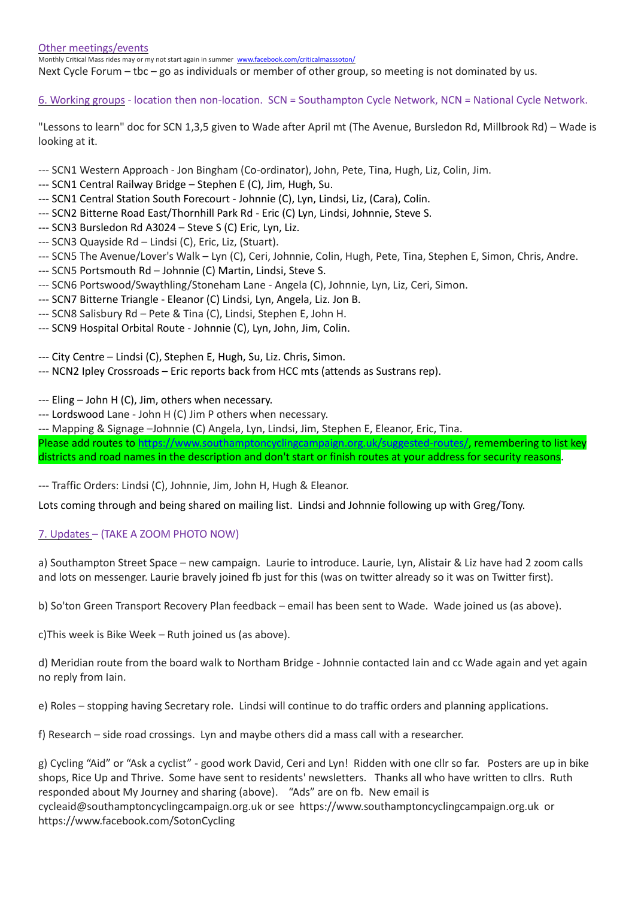#### Other meetings/events

Monthly Critical Mass rides may or my not start again in summer [www.facebook.com/criticalmasssoton/](https://www.facebook.com/criticalmasssoton/)

Next Cycle Forum – tbc – go as individuals or member of other group, so meeting is not dominated by us.

6. Working groups - location then non-location. SCN = Southampton Cycle Network, NCN = National Cycle Network.

"Lessons to learn" doc for SCN 1,3,5 given to Wade after April mt (The Avenue, Bursledon Rd, Millbrook Rd) – Wade is looking at it.

- --- SCN1 Western Approach Jon Bingham (Co-ordinator), John, Pete, Tina, Hugh, Liz, Colin, Jim.
- --- SCN1 Central Railway Bridge Stephen E (C), Jim, Hugh, Su.
- --- SCN1 Central Station South Forecourt Johnnie (C), Lyn, Lindsi, Liz, (Cara), Colin.
- --- SCN2 Bitterne Road East/Thornhill Park Rd Eric (C) Lyn, Lindsi, Johnnie, Steve S.
- --- SCN3 Bursledon Rd A3024 Steve S (C) Eric, Lyn, Liz.
- --- SCN3 Quayside Rd Lindsi (C), Eric, Liz, (Stuart).
- --- SCN5 The Avenue/Lover's Walk Lyn (C), Ceri, Johnnie, Colin, Hugh, Pete, Tina, Stephen E, Simon, Chris, Andre.
- --- SCN5 Portsmouth Rd Johnnie (C) Martin, Lindsi, Steve S.
- --- SCN6 Portswood/Swaythling/Stoneham Lane Angela (C), Johnnie, Lyn, Liz, Ceri, Simon.
- --- SCN7 Bitterne Triangle Eleanor (C) Lindsi, Lyn, Angela, Liz. Jon B.
- --- SCN8 Salisbury Rd Pete & Tina (C), Lindsi, Stephen E, John H.
- --- SCN9 Hospital Orbital Route Johnnie (C), Lyn, John, Jim, Colin.
- --- City Centre Lindsi (C), Stephen E, Hugh, Su, Liz. Chris, Simon.
- --- NCN2 Ipley Crossroads Eric reports back from HCC mts (attends as Sustrans rep).
- --- Eling John H (C), Jim, others when necessary.
- --- Lordswood Lane John H (C) Jim P others when necessary.
- --- Mapping & Signage –Johnnie (C) Angela, Lyn, Lindsi, Jim, Stephen E, Eleanor, Eric, Tina.

Please add routes t[o https://www.southamptoncyclingcampaign.org.uk/suggested-routes/,](https://www.southamptoncyclingcampaign.org.uk/suggested-routes/) remembering to list key districts and road names in the description and don't start or finish routes at your address for security reasons.

--- Traffic Orders: Lindsi (C), Johnnie, Jim, John H, Hugh & Eleanor.

Lots coming through and being shared on mailing list. Lindsi and Johnnie following up with Greg/Tony.

### 7. Updates – (TAKE A ZOOM PHOTO NOW)

a) Southampton Street Space – new campaign. Laurie to introduce. Laurie, Lyn, Alistair & Liz have had 2 zoom calls and lots on messenger. Laurie bravely joined fb just for this (was on twitter already so it was on Twitter first).

b) So'ton Green Transport Recovery Plan feedback – email has been sent to Wade. Wade joined us (as above).

c)This week is Bike Week – Ruth joined us (as above).

d) Meridian route from the board walk to Northam Bridge - Johnnie contacted Iain and cc Wade again and yet again no reply from Iain.

e) Roles – stopping having Secretary role. Lindsi will continue to do traffic orders and planning applications.

f) Research – side road crossings. Lyn and maybe others did a mass call with a researcher.

g) Cycling "Aid" or "Ask a cyclist" - good work David, Ceri and Lyn! Ridden with one cllr so far. Posters are up in bike shops, Rice Up and Thrive. Some have sent to residents' newsletters. Thanks all who have written to cllrs. Ruth responded about My Journey and sharing (above). "Ads" are on fb. New email is

cycleaid@southamptoncyclingcampaign.org.uk or see https://www.southamptoncyclingcampaign.org.uk or https://www.facebook.com/SotonCycling